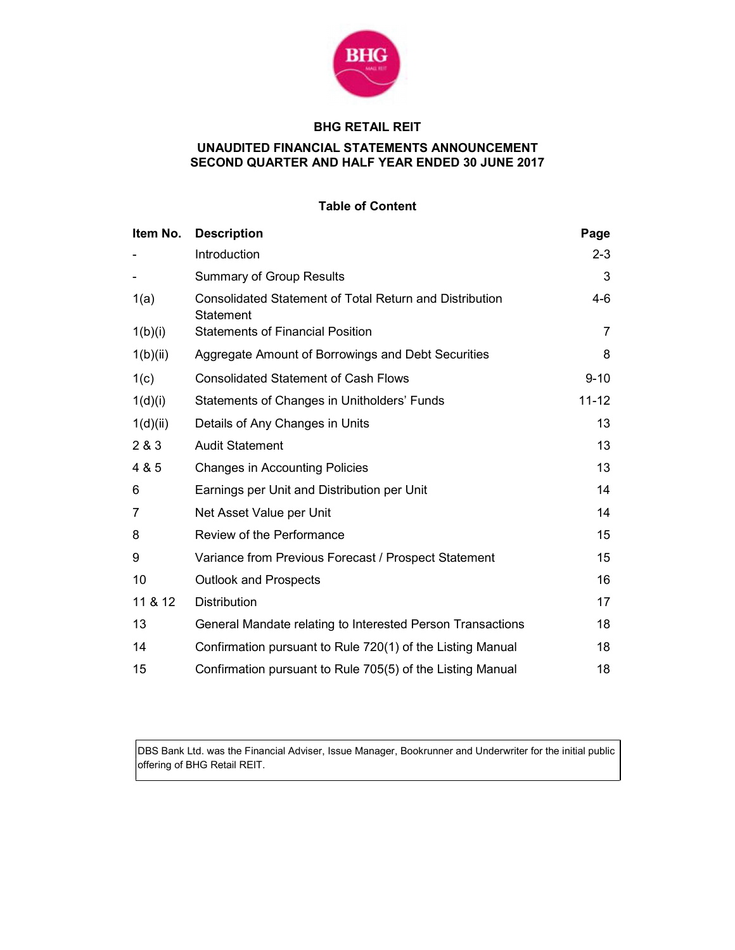

# BHG RETAIL REIT

## UNAUDITED FINANCIAL STATEMENTS ANNOUNCEMENT SECOND QUARTER AND HALF YEAR ENDED 30 JUNE 2017

## Table of Content

| Item No. | <b>Description</b>                                                          | Page           |
|----------|-----------------------------------------------------------------------------|----------------|
|          | Introduction                                                                | $2 - 3$        |
|          | <b>Summary of Group Results</b>                                             | 3              |
| 1(a)     | <b>Consolidated Statement of Total Return and Distribution</b><br>Statement | 4-6            |
| 1(b)(i)  | <b>Statements of Financial Position</b>                                     | $\overline{7}$ |
| 1(b)(ii) | Aggregate Amount of Borrowings and Debt Securities                          | 8              |
| 1(c)     | <b>Consolidated Statement of Cash Flows</b>                                 | $9 - 10$       |
| 1(d)(i)  | Statements of Changes in Unitholders' Funds                                 | $11 - 12$      |
| 1(d)(ii) | Details of Any Changes in Units                                             | 13             |
| 2 & 3    | <b>Audit Statement</b>                                                      | 13             |
| 4 & 5    | <b>Changes in Accounting Policies</b>                                       | 13             |
| 6        | Earnings per Unit and Distribution per Unit                                 | 14             |
| 7        | Net Asset Value per Unit                                                    | 14             |
| 8        | Review of the Performance                                                   | 15             |
| 9        | Variance from Previous Forecast / Prospect Statement                        | 15             |
| 10       | <b>Outlook and Prospects</b>                                                | 16             |
| 11 & 12  | <b>Distribution</b>                                                         | 17             |
| 13       | General Mandate relating to Interested Person Transactions                  | 18             |
| 14       | Confirmation pursuant to Rule 720(1) of the Listing Manual                  | 18             |
| 15       | Confirmation pursuant to Rule 705(5) of the Listing Manual                  | 18             |

DBS Bank Ltd. was the Financial Adviser, Issue Manager, Bookrunner and Underwriter for the initial public offering of BHG Retail REIT.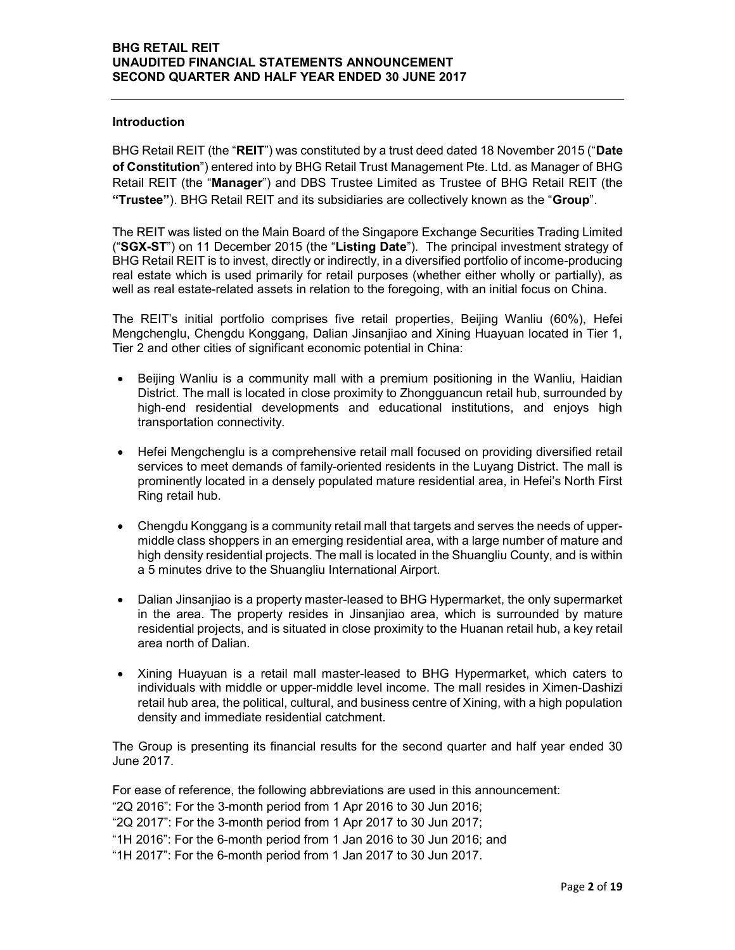#### Introduction

BHG Retail REIT (the "REIT") was constituted by a trust deed dated 18 November 2015 ("Date of Constitution") entered into by BHG Retail Trust Management Pte. Ltd. as Manager of BHG Retail REIT (the "Manager") and DBS Trustee Limited as Trustee of BHG Retail REIT (the "Trustee"). BHG Retail REIT and its subsidiaries are collectively known as the "Group".

The REIT was listed on the Main Board of the Singapore Exchange Securities Trading Limited ("SGX-ST") on 11 December 2015 (the "Listing Date"). The principal investment strategy of BHG Retail REIT is to invest, directly or indirectly, in a diversified portfolio of income-producing real estate which is used primarily for retail purposes (whether either wholly or partially), as well as real estate-related assets in relation to the foregoing, with an initial focus on China.

The REIT's initial portfolio comprises five retail properties, Beijing Wanliu (60%), Hefei Mengchenglu, Chengdu Konggang, Dalian Jinsanjiao and Xining Huayuan located in Tier 1, Tier 2 and other cities of significant economic potential in China:

- Beijing Wanliu is a community mall with a premium positioning in the Wanliu, Haidian District. The mall is located in close proximity to Zhongguancun retail hub, surrounded by high-end residential developments and educational institutions, and enjoys high transportation connectivity.
- Hefei Mengchenglu is a comprehensive retail mall focused on providing diversified retail services to meet demands of family-oriented residents in the Luyang District. The mall is prominently located in a densely populated mature residential area, in Hefei's North First Ring retail hub.
- Chengdu Konggang is a community retail mall that targets and serves the needs of uppermiddle class shoppers in an emerging residential area, with a large number of mature and high density residential projects. The mall is located in the Shuangliu County, and is within a 5 minutes drive to the Shuangliu International Airport.
- Dalian Jinsanjiao is a property master-leased to BHG Hypermarket, the only supermarket in the area. The property resides in Jinsanjiao area, which is surrounded by mature residential projects, and is situated in close proximity to the Huanan retail hub, a key retail area north of Dalian.
- Xining Huayuan is a retail mall master-leased to BHG Hypermarket, which caters to individuals with middle or upper-middle level income. The mall resides in Ximen-Dashizi retail hub area, the political, cultural, and business centre of Xining, with a high population density and immediate residential catchment.

The Group is presenting its financial results for the second quarter and half year ended 30 June 2017.

For ease of reference, the following abbreviations are used in this announcement: "2Q 2016": For the 3-month period from 1 Apr 2016 to 30 Jun 2016; "2Q 2017": For the 3-month period from 1 Apr 2017 to 30 Jun 2017; "1H 2016": For the 6-month period from 1 Jan 2016 to 30 Jun 2016; and "1H 2017": For the 6-month period from 1 Jan 2017 to 30 Jun 2017.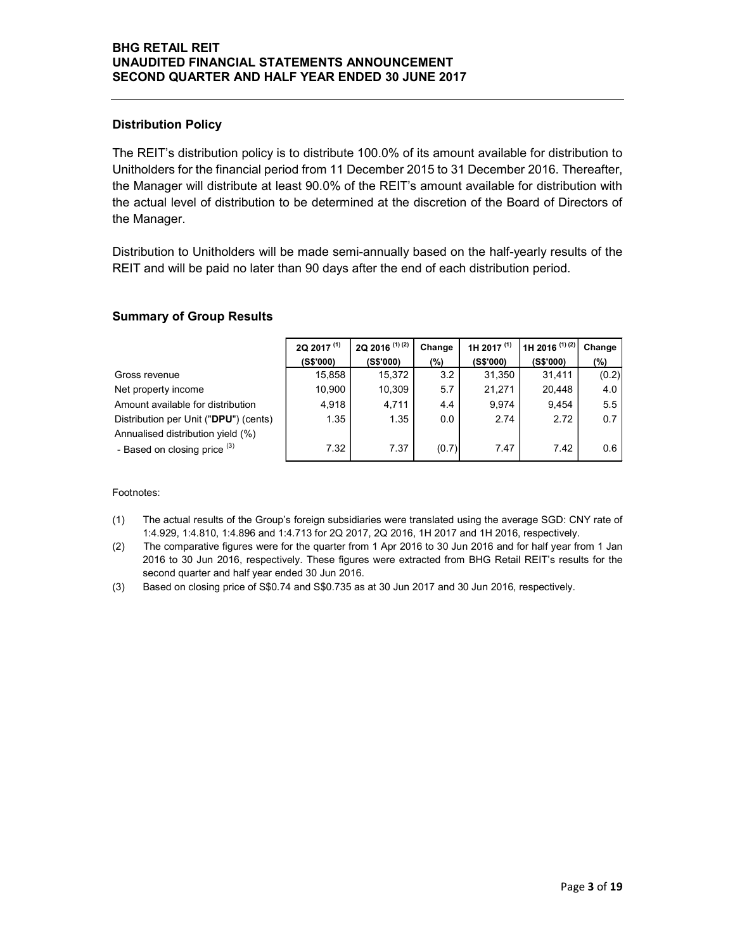## Distribution Policy

## Summary of Group Results

| <b>Distribution Policy</b>                                                                                                                                                                                                                                                                                                                                                                                               |                        |                           |            |                        |                           |              |
|--------------------------------------------------------------------------------------------------------------------------------------------------------------------------------------------------------------------------------------------------------------------------------------------------------------------------------------------------------------------------------------------------------------------------|------------------------|---------------------------|------------|------------------------|---------------------------|--------------|
| The REIT's distribution policy is to distribute 100.0% of its amount available for distribution to<br>Unitholders for the financial period from 11 December 2015 to 31 December 2016. Thereafter,<br>the Manager will distribute at least 90.0% of the REIT's amount available for distribution with<br>the actual level of distribution to be determined at the discretion of the Board of Directors of<br>the Manager. |                        |                           |            |                        |                           |              |
|                                                                                                                                                                                                                                                                                                                                                                                                                          |                        |                           |            |                        |                           |              |
| Distribution to Unitholders will be made semi-annually based on the half-yearly results of the<br>REIT and will be paid no later than 90 days after the end of each distribution period.                                                                                                                                                                                                                                 |                        |                           |            |                        |                           |              |
|                                                                                                                                                                                                                                                                                                                                                                                                                          |                        |                           |            |                        |                           |              |
| <b>Summary of Group Results</b>                                                                                                                                                                                                                                                                                                                                                                                          | 2Q 2017 <sup>(1)</sup> | 2Q 2016 <sup>(1)(2)</sup> | Change     | 1H 2017 <sup>(1)</sup> | 1H 2016 <sup>(1)(2)</sup> | Change       |
| Gross revenue                                                                                                                                                                                                                                                                                                                                                                                                            | (S\$'000)<br>15,858    | (S\$'000)<br>15,372       | (%)<br>3.2 | (S\$'000)<br>31,350    | (S\$'000)<br>31,411       | (%)<br>(0.2) |
| Net property income                                                                                                                                                                                                                                                                                                                                                                                                      | 10,900                 | 10,309                    | 5.7        | 21,271                 | 20,448                    | 4.0          |
| Amount available for distribution                                                                                                                                                                                                                                                                                                                                                                                        | 4,918                  | 4,711                     | 4.4        | 9,974                  | 9,454                     | 5.5          |
| Distribution per Unit ("DPU") (cents)<br>Annualised distribution yield (%)                                                                                                                                                                                                                                                                                                                                               | 1.35                   | 1.35                      | 0.0        | 2.74                   | 2.72                      | 0.7          |

- (1) The actual results of the Group's foreign subsidiaries were translated using the average SGD: CNY rate of 1:4.929, 1:4.810, 1:4.896 and 1:4.713 for 2Q 2017, 2Q 2016, 1H 2017 and 1H 2016, respectively.
- (2) The comparative figures were for the quarter from 1 Apr 2016 to 30 Jun 2016 and for half year from 1 Jan 2016 to 30 Jun 2016, respectively. These figures were extracted from BHG Retail REIT's results for the second quarter and half year ended 30 Jun 2016.
- (3) Based on closing price of S\$0.74 and S\$0.735 as at 30 Jun 2017 and 30 Jun 2016, respectively.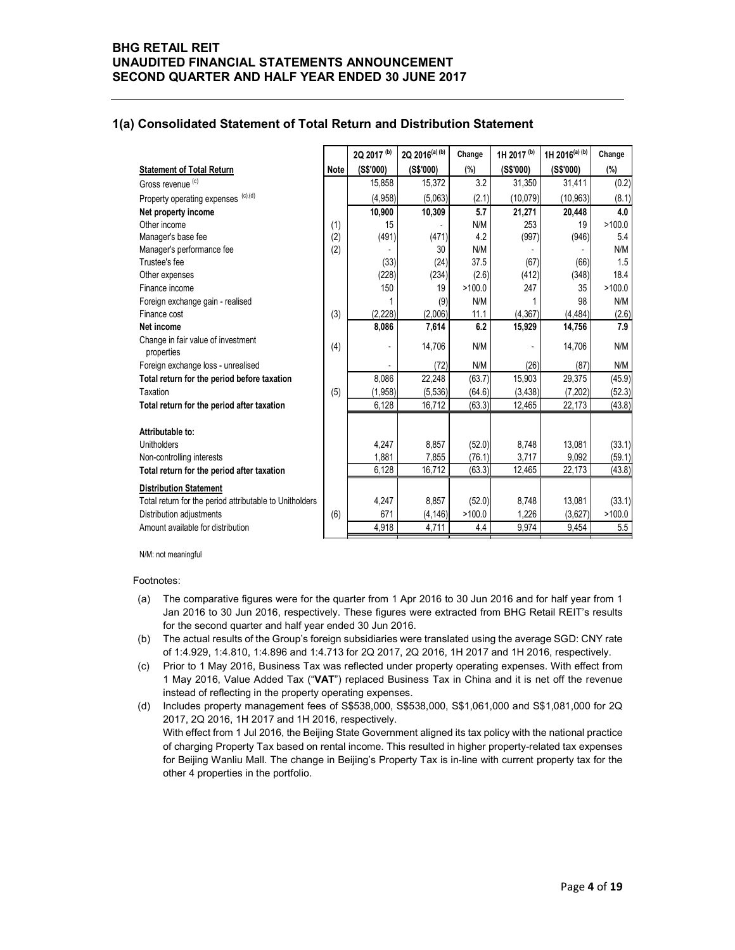#### 1(a) Consolidated Statement of Total Return and Distribution Statement

| <b>Consolidated Statement of Total Return and Distribution Statement</b>          |      |                |                |                  |                          |                 |                  |
|-----------------------------------------------------------------------------------|------|----------------|----------------|------------------|--------------------------|-----------------|------------------|
|                                                                                   |      |                |                |                  |                          |                 |                  |
|                                                                                   |      |                |                |                  |                          |                 |                  |
|                                                                                   |      | 2Q 2017 (b)    | 2Q 2016(a) (b) | Change           | 1H 2017 <sup>(b)</sup>   | 1H 2016(a) (b)  | Change           |
| <b>Statement of Total Return</b>                                                  | Note | (S\$'000)      | (S\$'000)      | (%)              | (S\$'000)                | (S\$'000)       | (%)              |
| Gross revenue <sup>(c)</sup>                                                      |      | 15,858         | 15,372         | 3.2              | 31,350                   | 31,411          | (0.2)            |
| Property operating expenses (c),(d)                                               |      | (4,958)        | (5,063)        | (2.1)            | (10,079)                 | (10, 963)       | (8.1)            |
| Net property income                                                               |      | 10,900         | 10,309         | 5.7              | 21,271                   | 20,448          | 4.0              |
| Other income                                                                      | (1)  | 15             |                | N/M              | 253                      | 19              | >100.0           |
| Manager's base fee                                                                | (2)  | (491)          | (471)          | 4.2              | (997)                    | (946)           | 5.4              |
| Manager's performance fee                                                         | (2)  |                | 30             | N/M              |                          |                 | N/M              |
| Trustee's fee                                                                     |      | (33)           | (24)           | 37.5             | (67)                     | (66)            | 1.5              |
| Other expenses<br>Finance income                                                  |      | (228)<br>150   | (234)<br>19    | (2.6)<br>>100.0  | (412)<br>247             | (348)<br>35     | 18.4<br>>100.0   |
| Foreign exchange gain - realised                                                  |      | $\mathbf{1}$   | (9)            | N/M              | $\overline{1}$           | 98              | N/M              |
| Finance cost                                                                      | (3)  | (2, 228)       | (2,006)        | 11.1             | (4, 367)                 | (4, 484)        | (2.6)            |
| Net income                                                                        |      | 8,086          | 7,614          | 6.2              | 15,929                   | 14,756          | 7.9              |
| Change in fair value of investment                                                | (4)  |                | 14,706         | N/M              | $\overline{\phantom{a}}$ | 14,706          | N/M              |
| properties                                                                        |      |                |                | N/M              |                          |                 |                  |
| Foreign exchange loss - unrealised<br>Total return for the period before taxation |      | 8,086          | (72)<br>22,248 | (63.7)           | (26)<br>15,903           | (87)<br>29,375  | N/M<br>(45.9)    |
| Taxation                                                                          | (5)  | (1,958)        | (5,536)        | (64.6)           | (3, 438)                 | (7,202)         | (52.3)           |
| Total return for the period after taxation                                        |      | 6,128          | 16,712         | (63.3)           | 12,465                   | 22,173          | (43.8)           |
|                                                                                   |      |                |                |                  |                          |                 |                  |
| Attributable to:<br><b>Unitholders</b>                                            |      |                |                |                  |                          |                 |                  |
| Non-controlling interests                                                         |      | 4,247<br>1,881 | 8,857<br>7,855 | (52.0)<br>(76.1) | 8,748<br>3,717           | 13,081<br>9,092 | (33.1)<br>(59.1) |
| Total return for the period after taxation                                        |      | 6,128          | 16,712         | (63.3)           | 12,465                   | 22,173          | (43.8)           |
| <b>Distribution Statement</b>                                                     |      |                |                |                  |                          |                 |                  |
| Total return for the period attributable to Unitholders                           |      | 4,247          | 8,857          | (52.0)           | 8,748                    | 13,081          | (33.1)           |
|                                                                                   | (6)  | 671            | (4, 146)       | >100.0           | 1,226                    | (3,627)         | >100.0           |
| Distribution adjustments                                                          |      | 4,918          | 4,711          | 4.4              | 9,974                    | 9,454           | $5.5\,$          |

Footnotes:

- (a) The comparative figures were for the quarter from 1 Apr 2016 to 30 Jun 2016 and for half year from 1 Jan 2016 to 30 Jun 2016, respectively. These figures were extracted from BHG Retail REIT's results for the second quarter and half year ended 30 Jun 2016.
- (b) The actual results of the Group's foreign subsidiaries were translated using the average SGD: CNY rate of 1:4.929, 1:4.810, 1:4.896 and 1:4.713 for 2Q 2017, 2Q 2016, 1H 2017 and 1H 2016, respectively.
- (c) Prior to 1 May 2016, Business Tax was reflected under property operating expenses. With effect from 1 May 2016, Value Added Tax ("VAT") replaced Business Tax in China and it is net off the revenue instead of reflecting in the property operating expenses.
- (d) Includes property management fees of S\$538,000, S\$538,000, S\$1,061,000 and S\$1,081,000 for 2Q 2017, 2Q 2016, 1H 2017 and 1H 2016, respectively. With effect from 1 Jul 2016, the Beijing State Government aligned its tax policy with the national practice of charging Property Tax based on rental income. This resulted in higher property-related tax expenses for Beijing Wanliu Mall. The change in Beijing's Property Tax is in-line with current property tax for the other 4 properties in the portfolio.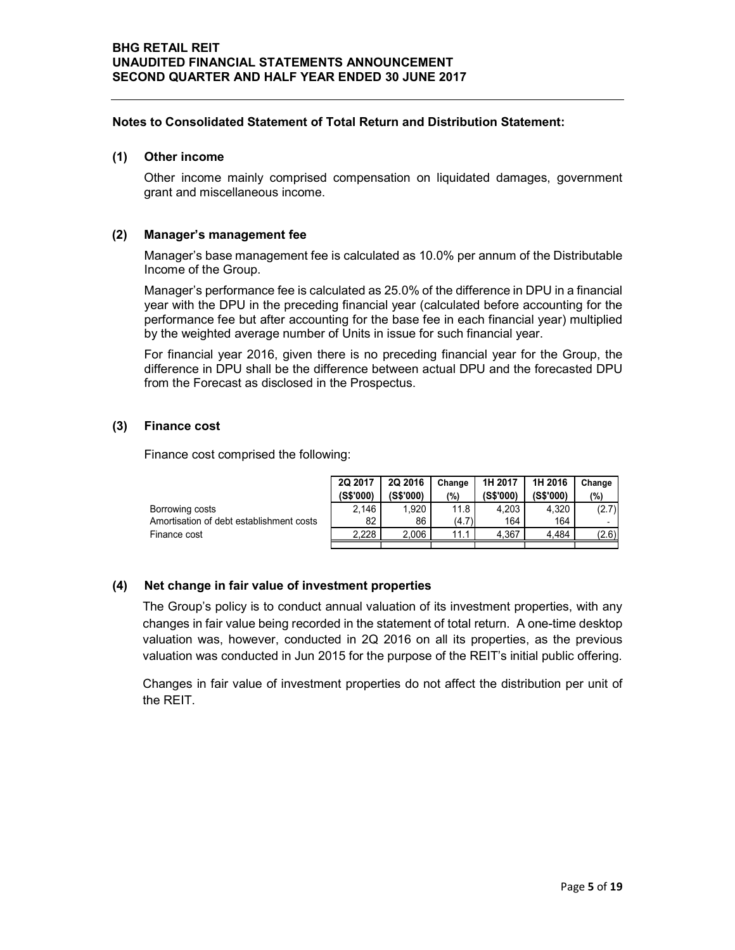#### Notes to Consolidated Statement of Total Return and Distribution Statement:

#### (1) Other income

#### (2) Manager's management fee

#### (3) Finance cost

| Other income mainly comprised compensation on liquidated damages, government<br>grant and miscellaneous income.                                                                                                                                                                                                                                              |
|--------------------------------------------------------------------------------------------------------------------------------------------------------------------------------------------------------------------------------------------------------------------------------------------------------------------------------------------------------------|
| Manager's management fee                                                                                                                                                                                                                                                                                                                                     |
| Manager's base management fee is calculated as 10.0% per annum of the Distributable<br>Income of the Group.                                                                                                                                                                                                                                                  |
| Manager's performance fee is calculated as 25.0% of the difference in DPU in a financial<br>year with the DPU in the preceding financial year (calculated before accounting for the<br>performance fee but after accounting for the base fee in each financial year) multiplied<br>by the weighted average number of Units in issue for such financial year. |
| For financial year 2016, given there is no preceding financial year for the Group, the<br>difference in DPU shall be the difference between actual DPU and the forecasted DPU<br>from the Forecast as disclosed in the Prospectus.                                                                                                                           |
| <b>Finance cost</b>                                                                                                                                                                                                                                                                                                                                          |
| Finance cost comprised the following:                                                                                                                                                                                                                                                                                                                        |
| 2Q 2016<br>1H 2017<br>1H 2016<br>2Q 2017<br>Change<br>Change<br>(S\$'000)<br>(S\$'000)<br>(%)<br>(S\$'000)<br>(S\$'000)<br>(%)                                                                                                                                                                                                                               |
| 11.8<br>Borrowing costs<br>1,920<br>4,203<br>(2.7)<br>2,146<br>4,320                                                                                                                                                                                                                                                                                         |
| Amortisation of debt establishment costs<br>82<br>(4.7)<br>86<br>164<br>164                                                                                                                                                                                                                                                                                  |
| 2,228<br>2,006<br>4,367<br>4,484<br>(2.6)<br>Finance cost<br>11.1                                                                                                                                                                                                                                                                                            |
|                                                                                                                                                                                                                                                                                                                                                              |
| Net change in fair value of investment properties                                                                                                                                                                                                                                                                                                            |
| The Group's policy is to conduct annual valuation of its investment properties, with any                                                                                                                                                                                                                                                                     |

#### (4) Net change in fair value of investment properties

The Group's policy is to conduct annual valuation of its investment properties, with any changes in fair value being recorded in the statement of total return. A one-time desktop valuation was, however, conducted in 2Q 2016 on all its properties, as the previous valuation was conducted in Jun 2015 for the purpose of the REIT's initial public offering.

Changes in fair value of investment properties do not affect the distribution per unit of the REIT.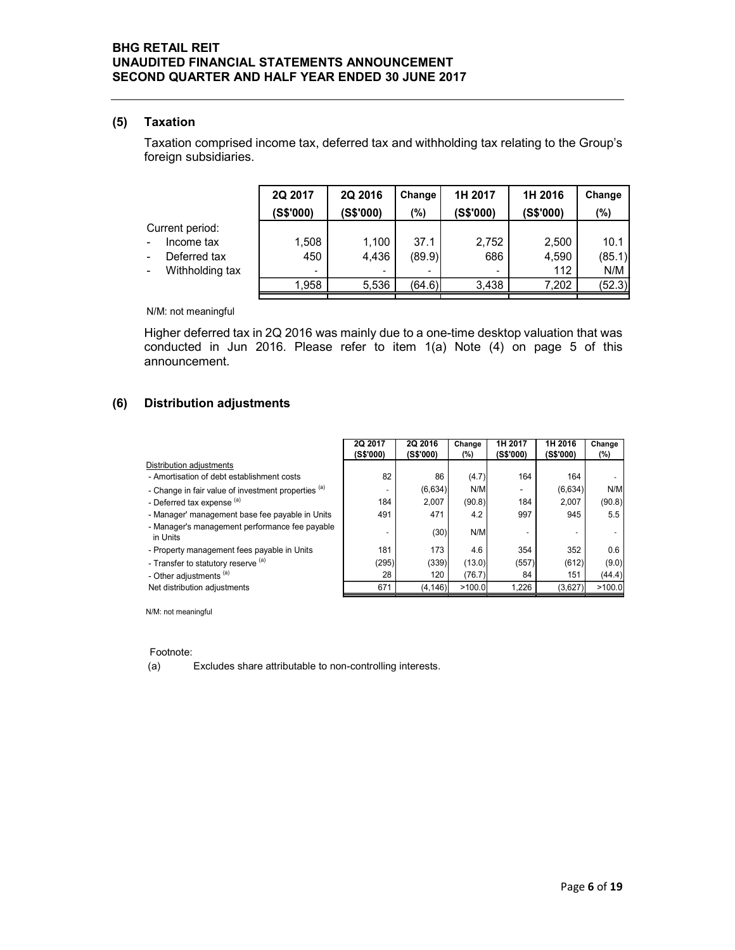#### (5) Taxation

| RETAIL REIT                                                                                                                                                                            |           |                      |                      |               |                      |                          |                          |
|----------------------------------------------------------------------------------------------------------------------------------------------------------------------------------------|-----------|----------------------|----------------------|---------------|----------------------|--------------------------|--------------------------|
| <b>IDITED FINANCIAL STATEMENTS ANNOUNCEMENT</b><br>ND QUARTER AND HALF YEAR ENDED 30 JUNE 2017                                                                                         |           |                      |                      |               |                      |                          |                          |
|                                                                                                                                                                                        |           |                      |                      |               |                      |                          |                          |
|                                                                                                                                                                                        |           |                      |                      |               |                      |                          |                          |
| <b>Taxation</b>                                                                                                                                                                        |           |                      |                      |               |                      |                          |                          |
| Taxation comprised income tax, deferred tax and withholding tax relating to the Group's<br>foreign subsidiaries.                                                                       |           |                      |                      |               |                      |                          |                          |
|                                                                                                                                                                                        | 2Q 2017   | 2Q 2016              | Change               | 1H 2017       |                      | 1H 2016                  | Change                   |
|                                                                                                                                                                                        |           |                      |                      |               |                      |                          |                          |
| Current period:                                                                                                                                                                        | (S\$'000) | (S\$'000)            | (%)                  | (S\$'000)     |                      | (S\$'000)                | (%)                      |
| Income tax                                                                                                                                                                             | 1,508     | 1,100                | 37.1                 |               | 2,752                | 2,500                    | 10.1                     |
| Deferred tax<br>$\overline{\phantom{0}}$                                                                                                                                               | 450       | 4,436                | (89.9)               |               | 686                  | 4,590                    | (85.1)                   |
| Withholding tax<br>н.                                                                                                                                                                  |           |                      |                      |               |                      | 112                      | N/M                      |
|                                                                                                                                                                                        | 1,958     | 5,536                | (64.6)               |               | 3,438                | 7,202                    | (52.3)                   |
| N/M: not meaningful                                                                                                                                                                    |           |                      |                      |               |                      |                          |                          |
| Higher deferred tax in 2Q 2016 was mainly due to a one-time desktop valuation that was<br>conducted in Jun 2016. Please refer to item 1(a) Note (4) on page 5 of this<br>announcement. |           |                      |                      |               |                      |                          |                          |
| Distribution adjustments                                                                                                                                                               |           |                      |                      |               |                      |                          |                          |
|                                                                                                                                                                                        |           | 2Q 2017<br>(S\$'000) | 2Q 2016<br>(S\$'000) | Change<br>(%) | 1H 2017<br>(S\$'000) | 1H 2016<br>(S\$'000)     | Change<br>(%)            |
| Distribution adjustments                                                                                                                                                               |           |                      |                      |               |                      |                          |                          |
| - Amortisation of debt establishment costs                                                                                                                                             |           | 82                   | 86                   | (4.7)         | 164                  | 164                      |                          |
| - Change in fair value of investment properties (a)<br>- Deferred tax expense <sup>(a)</sup>                                                                                           |           | 184                  | (6,634)<br>2,007     | N/M<br>(90.8) | $\sim$<br>184        | (6,634)<br>2,007         | N/M<br>(90.8)            |
| - Manager' management base fee payable in Units                                                                                                                                        |           | 491                  | 471                  | 4.2           | 997                  | 945                      | 5.5                      |
| - Manager's management performance fee payable                                                                                                                                         |           |                      |                      |               |                      |                          |                          |
| in Units                                                                                                                                                                               |           |                      | (30)                 | N/M           |                      | $\overline{\phantom{a}}$ | $\overline{\phantom{a}}$ |
| - Property management fees payable in Units                                                                                                                                            |           | 181                  | 173                  | 4.6           | 354                  | 352                      | 0.6                      |

## (6) Distribution adjustments

|                                                                                                                                     | 2Q 2017   | 2Q 2016   | Change    | 1H 2017   |                          | 1H 2016   | Change |
|-------------------------------------------------------------------------------------------------------------------------------------|-----------|-----------|-----------|-----------|--------------------------|-----------|--------|
|                                                                                                                                     | (S\$'000) | (S\$'000) | (%)       | (S\$'000) |                          | (S\$'000) | (%)    |
| Current period:                                                                                                                     |           |           |           |           |                          |           |        |
| Income tax                                                                                                                          | 1,508     | 1,100     | 37.1      |           | 2,752                    | 2,500     | 10.1   |
| Deferred tax                                                                                                                        | 450       | 4,436     | (89.9)    |           | 686                      | 4,590     | (85.1) |
| Withholding tax                                                                                                                     |           |           |           |           |                          | 112       | N/M    |
|                                                                                                                                     | 1,958     | 5,536     | (64.6)    |           | 3,438                    | 7,202     | (52.3) |
| N/M: not meaningful                                                                                                                 |           |           |           |           |                          |           |        |
| Higher deferred tax in 2Q 2016 was mainly due to a one-time desktop valuation that was                                              |           |           |           |           |                          |           |        |
| conducted in Jun 2016. Please refer to item $1(a)$ Note $(4)$ on page 5 of this<br>announcement.<br><b>Distribution adjustments</b> |           |           |           |           |                          |           |        |
|                                                                                                                                     |           |           |           |           |                          |           |        |
|                                                                                                                                     |           | 2Q 2017   | 2Q 2016   | Change    | 1H 2017                  | 1H 2016   | Change |
|                                                                                                                                     |           | (S\$'000) | (S\$'000) | (%)       | (S\$'000)                | (S\$'000) | (%)    |
| Distribution adjustments<br>- Amortisation of debt establishment costs                                                              |           | 82        | 86        | (4.7)     | 164                      | 164       |        |
| - Change in fair value of investment properties (a)                                                                                 |           | ÷,        | (6,634)   | N/M       |                          | (6,634)   | N/M    |
| - Deferred tax expense (a)                                                                                                          |           | 184       | 2,007     | (90.8)    | 184                      | 2,007     | (90.8) |
| - Manager' management base fee payable in Units                                                                                     |           | 491       | 471       | 4.2       | 997                      | 945       | 5.5    |
| - Manager's management performance fee payable<br>in Units                                                                          |           | ÷,        | (30)      | N/M       | $\overline{\phantom{a}}$ | $\sim$    | ٠      |
| - Property management fees payable in Units                                                                                         |           | 181       | 173       | 4.6       | 354                      | 352       | 0.6    |
| - Transfer to statutory reserve (a)                                                                                                 |           | (295)     | (339)     | (13.0)    | (557)                    | (612)     | (9.0)  |
| - Other adjustments (a)                                                                                                             |           | 28        | 120       | (76.7)    | 84                       | 151       | (44.4) |
| Net distribution adjustments                                                                                                        |           | 671       | (4, 146)  | >100.0    | 1,226                    | (3,627)   | >100.0 |
|                                                                                                                                     |           |           |           |           |                          |           |        |
| N/M: not meaningful                                                                                                                 |           |           |           |           |                          |           |        |
| Footnote:                                                                                                                           |           |           |           |           |                          |           |        |

(a) Excludes share attributable to non-controlling interests.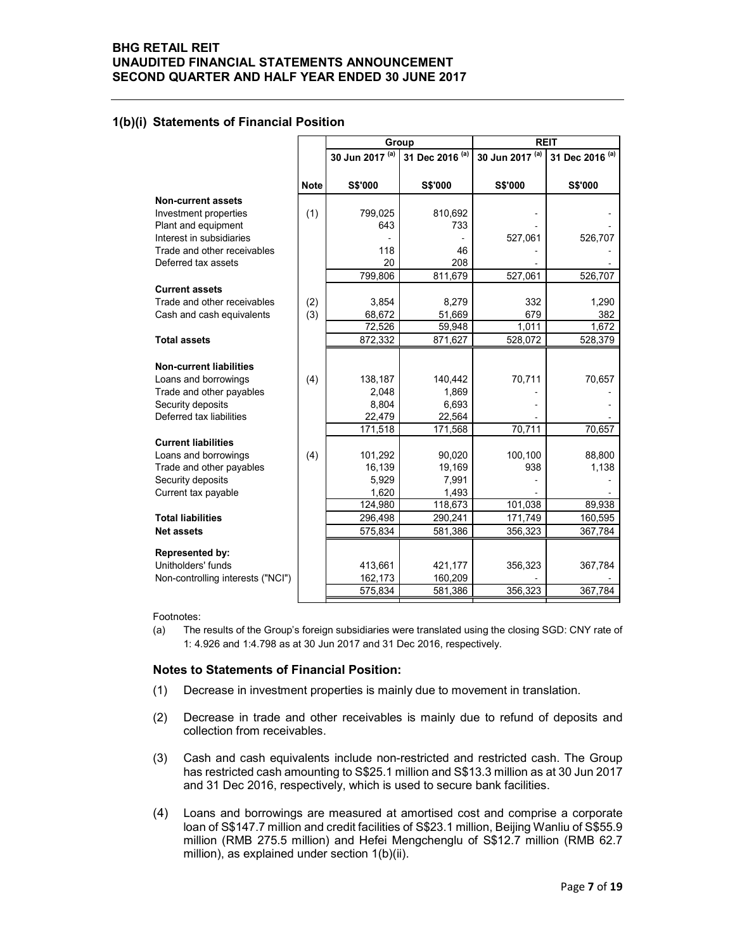#### 1(b)(i) Statements of Financial Position

| <b>RETAIL REIT</b><br><b>IDITED FINANCIAL STATEMENTS ANNOUNCEMENT</b><br>ND QUARTER AND HALF YEAR ENDED 30 JUNE 2017 |             |                               |                    |                 |                 |
|----------------------------------------------------------------------------------------------------------------------|-------------|-------------------------------|--------------------|-----------------|-----------------|
|                                                                                                                      |             |                               |                    |                 |                 |
|                                                                                                                      |             |                               |                    |                 |                 |
|                                                                                                                      |             |                               |                    |                 |                 |
|                                                                                                                      |             |                               |                    |                 |                 |
|                                                                                                                      |             |                               |                    |                 |                 |
|                                                                                                                      |             |                               |                    |                 |                 |
|                                                                                                                      |             |                               |                    |                 |                 |
|                                                                                                                      |             |                               |                    |                 |                 |
|                                                                                                                      |             |                               |                    |                 |                 |
|                                                                                                                      |             |                               |                    |                 |                 |
|                                                                                                                      |             |                               |                    |                 |                 |
|                                                                                                                      |             |                               |                    |                 |                 |
|                                                                                                                      |             |                               |                    |                 |                 |
|                                                                                                                      |             |                               |                    |                 |                 |
| <b>Statements of Financial Position</b>                                                                              |             |                               |                    |                 |                 |
|                                                                                                                      |             |                               | Group              |                 | <b>REIT</b>     |
|                                                                                                                      |             | 30 Jun 2017 (a)               | 31 Dec 2016 (a)    | 30 Jun 2017 (a) | 31 Dec 2016 (a) |
|                                                                                                                      |             |                               |                    |                 |                 |
|                                                                                                                      | <b>Note</b> | <b>S\$'000</b>                | <b>S\$'000</b>     | S\$'000         | S\$'000         |
| <b>Non-current assets</b>                                                                                            |             |                               |                    |                 |                 |
| Investment properties                                                                                                | (1)         | 799,025                       | 810,692            |                 |                 |
| Plant and equipment<br>Interest in subsidiaries                                                                      |             | 643                           | 733                | 527,061         | 526,707         |
| Trade and other receivables                                                                                          |             | 118                           | 46                 |                 |                 |
| Deferred tax assets                                                                                                  |             | 20                            | 208                |                 |                 |
|                                                                                                                      |             | 799,806                       | 811,679            | 527,061         | 526,707         |
| <b>Current assets</b>                                                                                                |             |                               |                    |                 |                 |
| Trade and other receivables                                                                                          | (2)         | 3,854                         | 8,279              | 332             | 1,290           |
| Cash and cash equivalents                                                                                            | (3)         | 68,672                        | 51,669             | 679             | 382             |
|                                                                                                                      |             | 72,526                        | 59,948             | 1,011           | 1,672           |
| <b>Total assets</b>                                                                                                  |             | 872,332                       | 871,627            | 528,072         | 528,379         |
| <b>Non-current liabilities</b>                                                                                       |             |                               |                    |                 |                 |
| Loans and borrowings                                                                                                 | (4)         | 138,187                       | 140,442            | 70,711          | 70,657          |
| Trade and other payables                                                                                             |             | 2,048                         | 1,869              |                 |                 |
| Security deposits                                                                                                    |             | 8,804                         | 6,693              |                 |                 |
| Deferred tax liabilities                                                                                             |             | 22,479                        | 22,564             |                 |                 |
|                                                                                                                      |             | 171,518                       | 171,568            | 70,711          | 70,657          |
| <b>Current liabilities</b>                                                                                           |             |                               |                    |                 |                 |
| Loans and borrowings<br>Trade and other payables                                                                     | (4)         | 101,292<br>16,139             | 90,020<br>19,169   | 100,100<br>938  | 88,800<br>1,138 |
| Security deposits                                                                                                    |             | 5,929                         | 7,991              |                 |                 |
| Current tax payable                                                                                                  |             | 1,620                         | 1,493              |                 |                 |
|                                                                                                                      |             | 124,980                       | 118,673            | 101,038         | 89,938          |
| <b>Total liabilities</b>                                                                                             |             | 296,498                       | 290,241            | 171,749         | 160,595         |
| <b>Net assets</b>                                                                                                    |             | 575,834                       | 581,386            | 356,323         | 367,784         |
|                                                                                                                      |             |                               |                    |                 |                 |
|                                                                                                                      |             |                               | 421,177            | 356,323         | 367,784         |
| <b>Represented by:</b>                                                                                               |             |                               |                    |                 |                 |
| Unitholders' funds<br>Non-controlling interests ("NCI")                                                              |             | 413,661<br>162,173<br>575,834 | 160,209<br>581,386 | 356,323         | 367,784         |

#### Notes to Statements of Financial Position:

- (1) Decrease in investment properties is mainly due to movement in translation.
- (2) Decrease in trade and other receivables is mainly due to refund of deposits and collection from receivables.
- (3) Cash and cash equivalents include non-restricted and restricted cash. The Group has restricted cash amounting to S\$25.1 million and S\$13.3 million as at 30 Jun 2017 and 31 Dec 2016, respectively, which is used to secure bank facilities.
- (4) Loans and borrowings are measured at amortised cost and comprise a corporate loan of S\$147.7 million and credit facilities of S\$23.1 million, Beijing Wanliu of S\$55.9 million (RMB 275.5 million) and Hefei Mengchenglu of S\$12.7 million (RMB 62.7 million), as explained under section 1(b)(ii).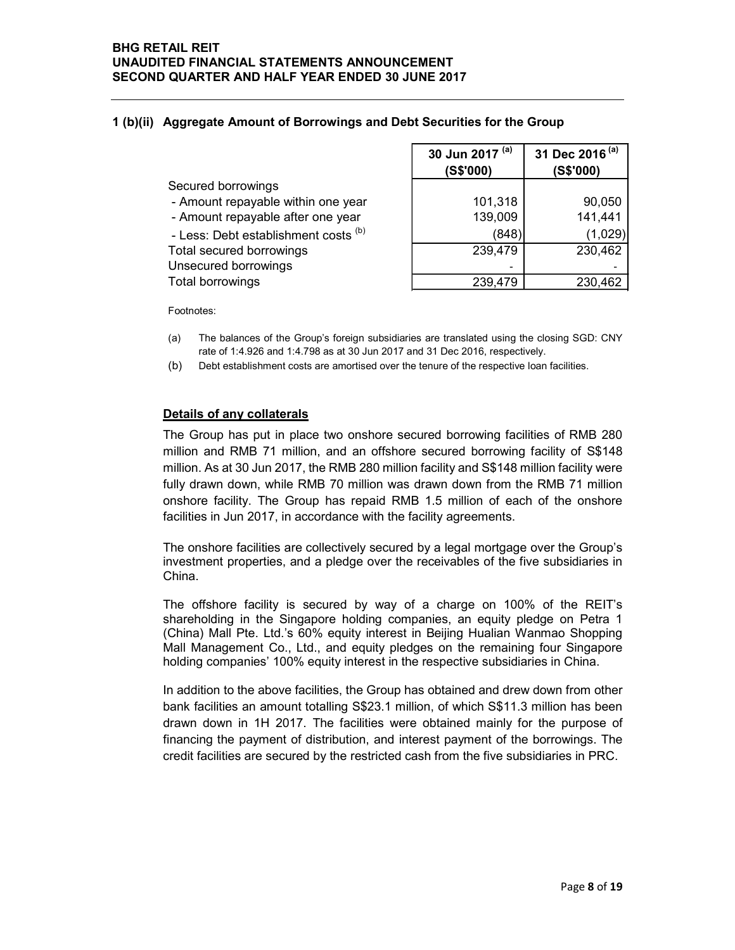## 1 (b)(ii) Aggregate Amount of Borrowings and Debt Securities for the Group

| <b>AIL REIT</b><br>ED FINANCIAL STATEMENTS ANNOUNCEMENT                 |                 |                                         |
|-------------------------------------------------------------------------|-----------------|-----------------------------------------|
| <b>QUARTER AND HALF YEAR ENDED 30 JUNE 2017</b>                         |                 |                                         |
|                                                                         |                 |                                         |
|                                                                         |                 |                                         |
|                                                                         |                 |                                         |
| <b>Aggregate Amount of Borrowings and Debt Securities for the Group</b> |                 |                                         |
|                                                                         | 30 Jun 2017 (a) | 31 Dec 2016 <sup>(a)</sup><br>(S\$'000) |
| Secured borrowings                                                      | (S\$'000)       |                                         |
| - Amount repayable within one year                                      | 101,318         | 90,050                                  |
| - Amount repayable after one year                                       | 139,009         | 141,441                                 |
| - Less: Debt establishment costs (b)                                    | (848)           | (1,029)                                 |
| Total secured borrowings                                                | 239,479         | 230,462                                 |
| Unsecured borrowings<br><b>Total borrowings</b>                         | 239,479         | 230,462                                 |

Footnotes:

- (a) The balances of the Group's foreign subsidiaries are translated using the closing SGD: CNY rate of 1:4.926 and 1:4.798 as at 30 Jun 2017 and 31 Dec 2016, respectively.
- (b) Debt establishment costs are amortised over the tenure of the respective loan facilities.

#### Details of any collaterals

The Group has put in place two onshore secured borrowing facilities of RMB 280 million and RMB 71 million, and an offshore secured borrowing facility of S\$148 million. As at 30 Jun 2017, the RMB 280 million facility and S\$148 million facility were fully drawn down, while RMB 70 million was drawn down from the RMB 71 million onshore facility. The Group has repaid RMB 1.5 million of each of the onshore facilities in Jun 2017, in accordance with the facility agreements.

The onshore facilities are collectively secured by a legal mortgage over the Group's investment properties, and a pledge over the receivables of the five subsidiaries in China.

The offshore facility is secured by way of a charge on 100% of the REIT's shareholding in the Singapore holding companies, an equity pledge on Petra 1 (China) Mall Pte. Ltd.'s 60% equity interest in Beijing Hualian Wanmao Shopping Mall Management Co., Ltd., and equity pledges on the remaining four Singapore holding companies' 100% equity interest in the respective subsidiaries in China.

In addition to the above facilities, the Group has obtained and drew down from other bank facilities an amount totalling S\$23.1 million, of which S\$11.3 million has been drawn down in 1H 2017. The facilities were obtained mainly for the purpose of financing the payment of distribution, and interest payment of the borrowings. The credit facilities are secured by the restricted cash from the five subsidiaries in PRC.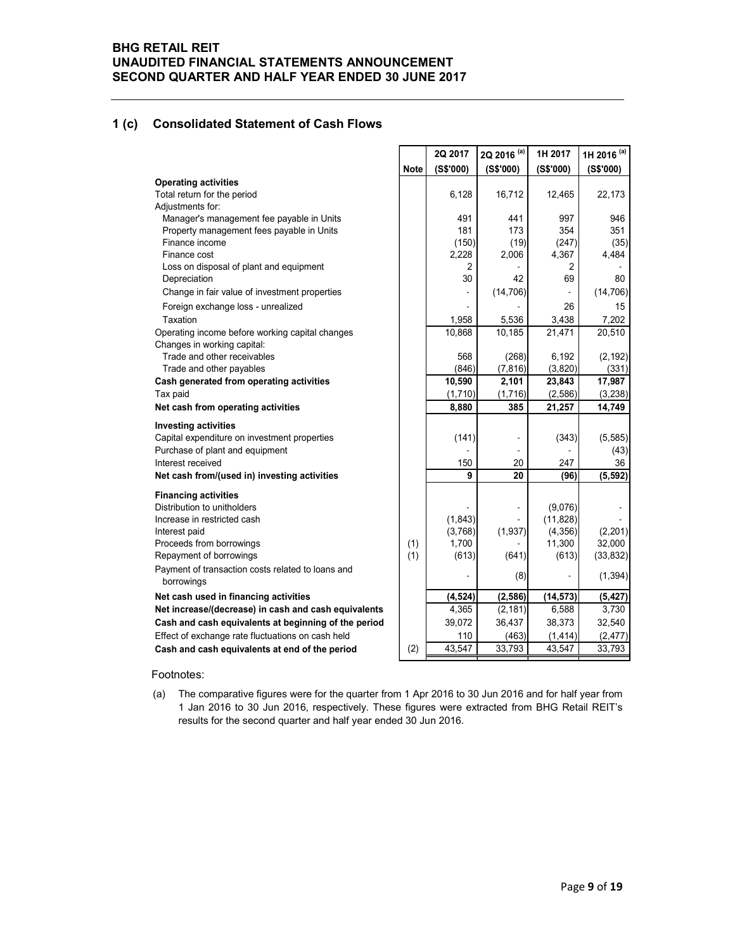## 1 (c) Consolidated Statement of Cash Flows

| <b>ETAIL REIT!</b><br>DITED FINANCIAL STATEMENTS ANNOUNCEMENT<br>ND QUARTER AND HALF YEAR ENDED 30 JUNE 2017<br><b>Consolidated Statement of Cash Flows</b> |      |                    |                          |                    |                        |
|-------------------------------------------------------------------------------------------------------------------------------------------------------------|------|--------------------|--------------------------|--------------------|------------------------|
|                                                                                                                                                             |      |                    |                          |                    |                        |
|                                                                                                                                                             |      |                    |                          |                    |                        |
|                                                                                                                                                             |      |                    |                          |                    |                        |
|                                                                                                                                                             |      |                    |                          |                    |                        |
|                                                                                                                                                             |      |                    |                          |                    |                        |
|                                                                                                                                                             |      |                    |                          |                    |                        |
|                                                                                                                                                             |      | 2Q 2017            | 2Q 2016 <sup>(a)</sup>   | 1H 2017            | 1H 2016 <sup>(a)</sup> |
|                                                                                                                                                             | Note | (S\$'000)          | (S\$'000)                | (S\$'000)          | (S\$'000)              |
| <b>Operating activities</b><br>Total return for the period                                                                                                  |      | 6,128              | 16,712                   |                    |                        |
| Adjustments for:                                                                                                                                            |      |                    |                          | 12,465             | 22,173                 |
| Manager's management fee payable in Units                                                                                                                   |      | 491                | 441                      | 997                | 946                    |
| Property management fees payable in Units                                                                                                                   |      | 181                | 173                      | 354                | 351                    |
| Finance income<br>Finance cost                                                                                                                              |      | (150)<br>2,228     | (19)<br>2,006            | (247)<br>4,367     | (35)<br>4,484          |
| Loss on disposal of plant and equipment                                                                                                                     |      | 2                  |                          | 2                  |                        |
| Depreciation                                                                                                                                                |      | 30                 | 42                       | 69                 | 80                     |
| Change in fair value of investment properties                                                                                                               |      |                    | (14, 706)                |                    | (14, 706)              |
| Foreign exchange loss - unrealized                                                                                                                          |      |                    |                          | 26                 | 15                     |
| Taxation<br>Operating income before working capital changes                                                                                                 |      | 1,958<br>10,868    | 5,536<br>10,185          | 3,438<br>21,471    | 7,202<br>20,510        |
| Changes in working capital:                                                                                                                                 |      |                    |                          |                    |                        |
| Trade and other receivables                                                                                                                                 |      | 568                | (268)                    | 6,192              | (2, 192)               |
| Trade and other payables                                                                                                                                    |      | (846)              | (7, 816)                 | (3,820)            | (331)                  |
| Cash generated from operating activities<br>Tax paid                                                                                                        |      | 10,590<br>(1, 710) | 2,101<br>(1,716)         | 23,843<br>(2, 586) | 17,987<br>(3, 238)     |
| Net cash from operating activities                                                                                                                          |      | 8,880              | 385                      | 21,257             | 14,749                 |
| <b>Investing activities</b>                                                                                                                                 |      |                    |                          |                    |                        |
| Capital expenditure on investment properties                                                                                                                |      | (141)              |                          | (343)              | (5, 585)               |
| Purchase of plant and equipment                                                                                                                             |      |                    | $\overline{\phantom{a}}$ |                    | (43)                   |
| Interest received                                                                                                                                           |      | 150<br>9           | 20<br>20                 | 247<br>(96)        | 36                     |
| Net cash from/(used in) investing activities                                                                                                                |      |                    |                          |                    | (5, 592)               |
| <b>Financing activities</b><br>Distribution to unitholders                                                                                                  |      |                    |                          | (9,076)            |                        |
| Increase in restricted cash                                                                                                                                 |      | (1, 843)           |                          | (11, 828)          |                        |
| Interest paid                                                                                                                                               |      | (3,768)            | (1,937)                  | (4,356)            | (2, 201)               |
| Proceeds from borrowings                                                                                                                                    | (1)  | 1,700              |                          | 11,300             | 32,000                 |
| Repayment of borrowings                                                                                                                                     | (1)  | (613)              | (641)                    | (613)              | (33, 832)              |
| Payment of transaction costs related to loans and<br>borrowings                                                                                             |      |                    | (8)                      |                    | (1, 394)               |
| Net cash used in financing activities                                                                                                                       |      | (4, 524)           | (2, 586)                 | (14, 573)          | (5, 427)               |
| Net increase/(decrease) in cash and cash equivalents                                                                                                        |      | 4,365              | (2, 181)                 | 6,588              | 3,730                  |
| Cash and cash equivalents at beginning of the period                                                                                                        |      | 39,072             | 36,437                   | 38,373             | 32,540                 |
|                                                                                                                                                             |      | 110                | (463)                    | (1, 414)           | (2, 477)               |
| Effect of exchange rate fluctuations on cash held<br>Cash and cash equivalents at end of the period                                                         | (2)  | 43,547             | 33,793                   | 43,547             | 33,793                 |

#### Footnotes: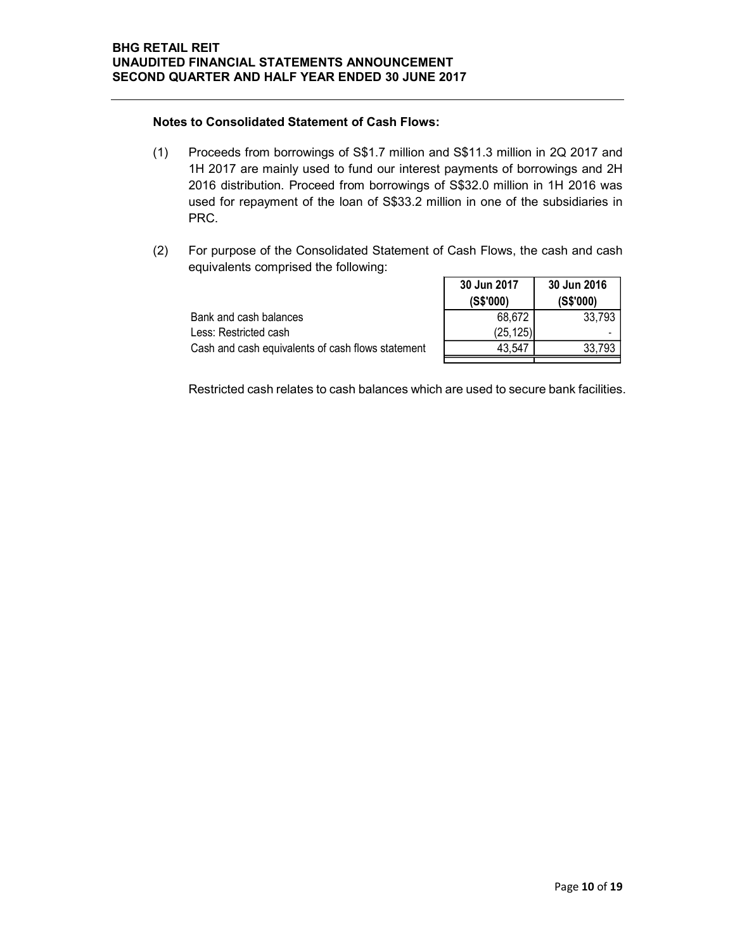#### Notes to Consolidated Statement of Cash Flows:

- (1) Proceeds from borrowings of S\$1.7 million and S\$11.3 million in 2Q 2017 and 1H 2017 are mainly used to fund our interest payments of borrowings and 2H 2016 distribution. Proceed from borrowings of S\$32.0 million in 1H 2016 was used for repayment of the loan of S\$33.2 million in one of the subsidiaries in PRC. 7<br>
31.3 million in 2Q 2017 and<br>
4 Mements of borrowings and 2H<br>
32.0 million in 1H 2016 was<br>
in one of the subsidiaries in<br>
130 Jun 2017 30 Jun 2016<br>
30 Jun 2017 30 Jun 2016<br>
30 Jun 2017 (S\$'000)<br>
68,672 33,793<br>
(25,125)<br> REIT<br>
ETRANCIAL STATEMENTS ANNOUNCEMENT<br>
to Consolidated Statement of Cash Flows:<br>
Proceeds from borrowings of S\$1.7 million and S\$11.3 million in 2Q 2017 and<br>
IH 2017 are mainly used to fund our interest payments of borro
- (2) For purpose of the Consolidated Statement of Cash Flows, the cash and cash equivalents comprised the following:

|                                                 | <b>VV VWII AV II</b> | VV VUII LV IV |
|-------------------------------------------------|----------------------|---------------|
|                                                 | (S\$'000)            | (S\$'000)     |
| nk and cash balances                            | 68,672               | 33.793        |
| ss: Restricted cash_                            | (25, 125)            |               |
| sh and cash equivalents of cash flows statement | 43.547               | 33,793        |

Restricted cash relates to cash balances which are used to secure bank facilities.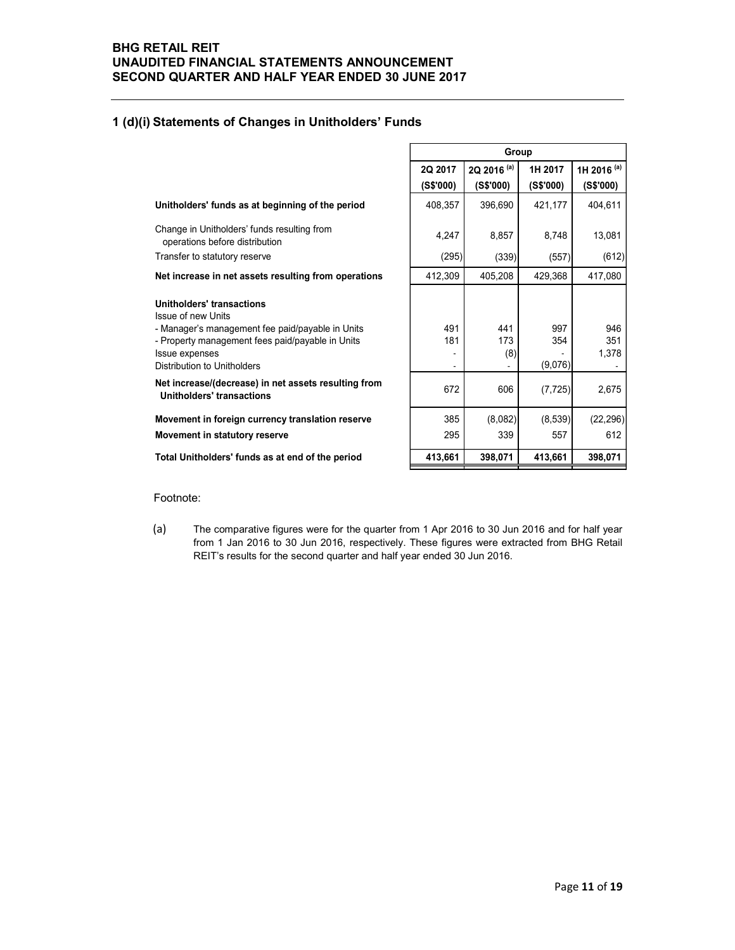## 1 (d)(i) Statements of Changes in Unitholders' Funds

| <b>ETAIL REIT</b>                                                                                    |                          |                                     |                      |                                     |
|------------------------------------------------------------------------------------------------------|--------------------------|-------------------------------------|----------------------|-------------------------------------|
| DITED FINANCIAL STATEMENTS ANNOUNCEMENT<br><b>ND QUARTER AND HALF YEAR ENDED 30 JUNE 2017</b>        |                          |                                     |                      |                                     |
| <b>Statements of Changes in Unitholders' Funds</b>                                                   |                          |                                     |                      |                                     |
|                                                                                                      |                          | Group                               |                      |                                     |
|                                                                                                      | 2Q 2017<br>(S\$'000)     | 2Q 2016 <sup>(a)</sup><br>(S\$'000) | 1H 2017<br>(S\$'000) | 1H 2016 <sup>(a)</sup><br>(S\$'000) |
| Unitholders' funds as at beginning of the period                                                     | 408,357                  | 396,690                             | 421,177              | 404,611                             |
| Change in Unitholders' funds resulting from<br>operations before distribution                        | 4,247                    | 8,857                               | 8,748                | 13,081                              |
| Transfer to statutory reserve                                                                        | (295)                    | (339)                               | (557)                | (612)                               |
| Net increase in net assets resulting from operations                                                 | 412,309                  | 405,208                             | 429,368              | 417,080                             |
| <b>Unitholders' transactions</b><br>Issue of new Units                                               |                          |                                     |                      |                                     |
| - Manager's management fee paid/payable in Units                                                     | 491                      | 441                                 | 997                  | 946                                 |
| - Property management fees paid/payable in Units<br>Issue expenses                                   | 181                      | 173<br>(8)                          | 354                  | 351<br>1,378                        |
| <b>Distribution to Unitholders</b>                                                                   | $\overline{\phantom{a}}$ |                                     | (9,076)              |                                     |
| Net increase/(decrease) in net assets resulting from<br><b>Unitholders' transactions</b>             | 672                      | 606                                 | (7, 725)             | 2,675                               |
| Movement in foreign currency translation reserve                                                     | 385                      | (8,082)                             | (8,539)              | (22, 296)                           |
| Movement in statutory reserve                                                                        | 295                      | 339                                 | 557                  | 612                                 |
| Total Unitholders' funds as at end of the period                                                     | 413,661                  | 398,071                             | 413,661              | 398,071                             |
|                                                                                                      |                          |                                     |                      |                                     |
| Footnote:                                                                                            |                          |                                     |                      |                                     |
| (a)<br>The comparative figures were for the quarter from 1 Apr 2016 to 30 Jun 2016 and for half year |                          |                                     |                      |                                     |

#### Footnote:

(a) The comparative figures were for the quarter from 1 Apr 2016 to 30 Jun 2016 and for half year from 1 Jan 2016 to 30 Jun 2016, respectively. These figures were extracted from BHG Retail REIT's results for the second quarter and half year ended 30 Jun 2016.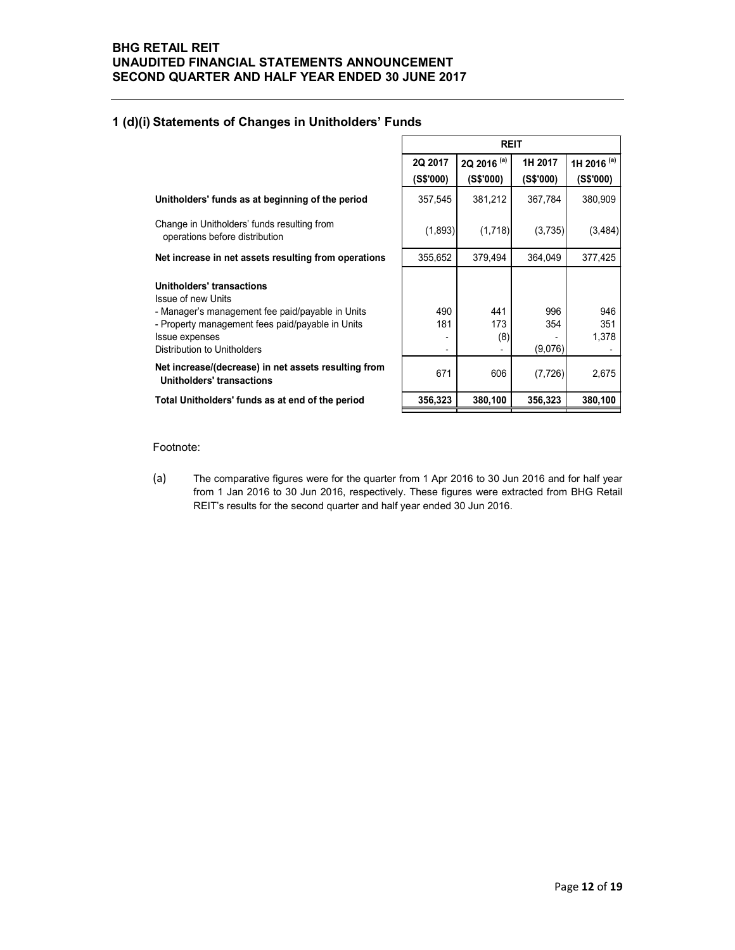## 1 (d)(i) Statements of Changes in Unitholders' Funds

| <b>Statements of Changes in Unitholders' Funds</b>                                                                                                                                                                     |                      |                                     |                       |                                     |  |  |  |  |  |  |
|------------------------------------------------------------------------------------------------------------------------------------------------------------------------------------------------------------------------|----------------------|-------------------------------------|-----------------------|-------------------------------------|--|--|--|--|--|--|
|                                                                                                                                                                                                                        | <b>REIT</b>          |                                     |                       |                                     |  |  |  |  |  |  |
|                                                                                                                                                                                                                        | 2Q 2017<br>(S\$'000) | 2Q 2016 <sup>(a)</sup><br>(S\$'000) | 1H 2017<br>(S\$'000)  | 1H 2016 <sup>(a)</sup><br>(S\$'000) |  |  |  |  |  |  |
| Unitholders' funds as at beginning of the period                                                                                                                                                                       | 357,545              | 381,212                             | 367,784               | 380,909                             |  |  |  |  |  |  |
| Change in Unitholders' funds resulting from<br>operations before distribution                                                                                                                                          | (1,893)              | (1,718)                             | (3,735)               | (3, 484)                            |  |  |  |  |  |  |
| Net increase in net assets resulting from operations                                                                                                                                                                   | 355,652              | 379,494                             | 364,049               | 377,425                             |  |  |  |  |  |  |
| <b>Unitholders' transactions</b><br>Issue of new Units<br>- Manager's management fee paid/payable in Units<br>- Property management fees paid/payable in Units<br>Issue expenses<br><b>Distribution to Unitholders</b> | 490<br>181           | 441<br>173<br>(8)                   | 996<br>354<br>(9,076) | 946<br>351<br>1,378                 |  |  |  |  |  |  |
| Net increase/(decrease) in net assets resulting from<br><b>Unitholders' transactions</b>                                                                                                                               | 671                  | 606                                 | (7, 726)              | 2.675                               |  |  |  |  |  |  |
| Total Unitholders' funds as at end of the period                                                                                                                                                                       | 356,323              | 380,100                             | 356,323               | 380,100                             |  |  |  |  |  |  |

Footnote:

(a) The comparative figures were for the quarter from 1 Apr 2016 to 30 Jun 2016 and for half year from 1 Jan 2016 to 30 Jun 2016, respectively. These figures were extracted from BHG Retail REIT's results for the second quarter and half year ended 30 Jun 2016.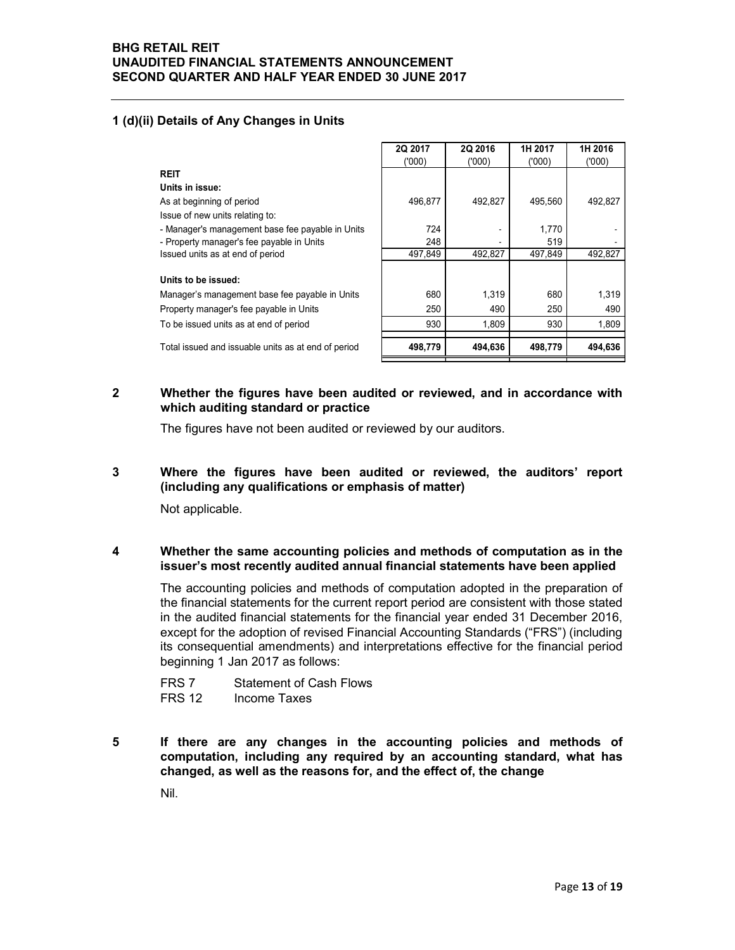## 1 (d)(ii) Details of Any Changes in Units

| <b>TAIL REIT</b>                                                                                                                 |            |              |            |              |
|----------------------------------------------------------------------------------------------------------------------------------|------------|--------------|------------|--------------|
| TED FINANCIAL STATEMENTS ANNOUNCEMENT                                                                                            |            |              |            |              |
| O QUARTER AND HALF YEAR ENDED 30 JUNE 2017                                                                                       |            |              |            |              |
|                                                                                                                                  |            |              |            |              |
|                                                                                                                                  |            |              |            |              |
| Details of Any Changes in Units                                                                                                  |            |              |            |              |
|                                                                                                                                  | 2Q 2017    | 2Q 2016      | 1H 2017    | 1H 2016      |
|                                                                                                                                  | (000)      | (000)        | (000)      | (000)        |
| <b>REIT</b>                                                                                                                      |            |              |            |              |
| Units in issue:                                                                                                                  |            |              |            |              |
| As at beginning of period                                                                                                        | 496,877    | 492,827      | 495,560    | 492,827      |
|                                                                                                                                  |            |              |            |              |
|                                                                                                                                  |            |              | 1,770      |              |
|                                                                                                                                  | 724        |              | 519        |              |
| Issue of new units relating to:<br>- Manager's management base fee payable in Units<br>- Property manager's fee payable in Units | 248        |              | 497,849    | 492,827      |
| Issued units as at end of period                                                                                                 | 497,849    | 492,827      |            |              |
|                                                                                                                                  |            |              |            |              |
| Units to be issued:                                                                                                              |            |              |            |              |
| Manager's management base fee payable in Units                                                                                   | 680        | 1,319        | 680        | 1,319        |
| Property manager's fee payable in Units<br>To be issued units as at end of period                                                | 250<br>930 | 490<br>1,809 | 250<br>930 | 490<br>1,809 |

2 Whether the figures have been audited or reviewed, and in accordance with which auditing standard or practice

The figures have not been audited or reviewed by our auditors.

3 Where the figures have been audited or reviewed, the auditors' report (including any qualifications or emphasis of matter)

Not applicable.

#### 4 Whether the same accounting policies and methods of computation as in the issuer's most recently audited annual financial statements have been applied

The accounting policies and methods of computation adopted in the preparation of the financial statements for the current report period are consistent with those stated in the audited financial statements for the financial year ended 31 December 2016, except for the adoption of revised Financial Accounting Standards ("FRS") (including its consequential amendments) and interpretations effective for the financial period beginning 1 Jan 2017 as follows:

| FRS <sub>7</sub> | <b>Statement of Cash Flows</b> |
|------------------|--------------------------------|
| <b>FRS 12</b>    | Income Taxes                   |

5 If there are any changes in the accounting policies and methods of computation, including any required by an accounting standard, what has changed, as well as the reasons for, and the effect of, the change

Nil.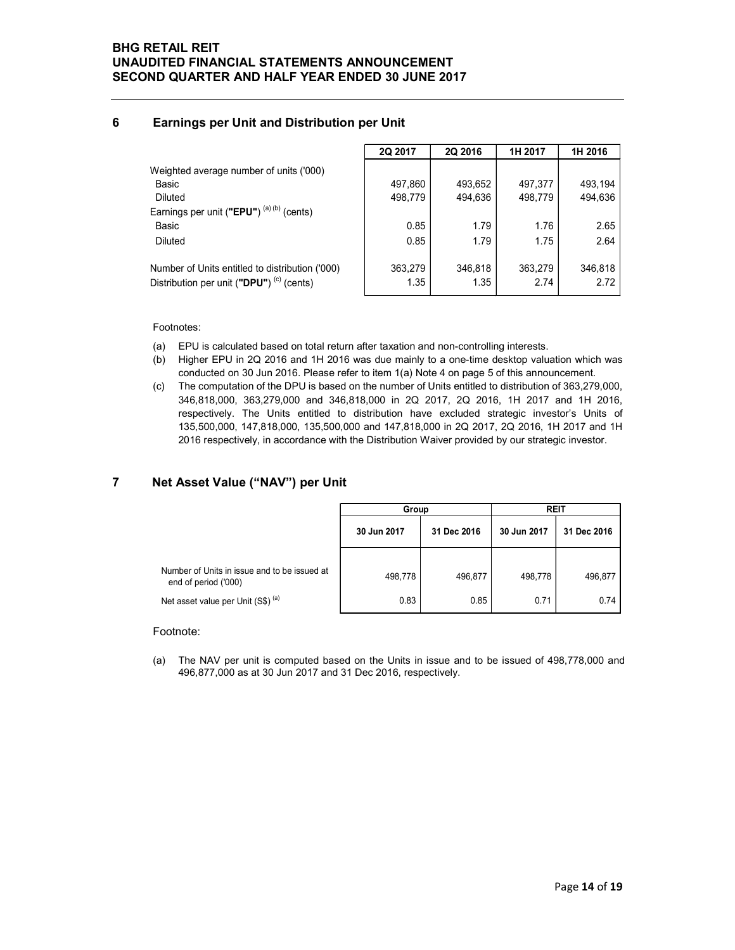## 6 Earnings per Unit and Distribution per Unit

| <b>RETAIL REIT</b>                                  |         |         |         |                 |
|-----------------------------------------------------|---------|---------|---------|-----------------|
|                                                     |         |         |         |                 |
|                                                     |         |         |         |                 |
|                                                     |         |         |         |                 |
|                                                     |         |         |         |                 |
|                                                     |         |         |         |                 |
|                                                     |         |         |         |                 |
| <b>IDITED FINANCIAL STATEMENTS ANNOUNCEMENT</b>     |         |         |         |                 |
| <b>ND QUARTER AND HALF YEAR ENDED 30 JUNE 2017</b>  |         |         |         |                 |
|                                                     |         |         |         |                 |
| Earnings per Unit and Distribution per Unit         |         |         |         |                 |
|                                                     |         |         |         |                 |
|                                                     |         |         |         |                 |
|                                                     | 2Q 2017 | 2Q 2016 | 1H 2017 | 1H 2016         |
| Weighted average number of units ('000)             |         |         |         |                 |
| Basic                                               | 497,860 | 493,652 | 497,377 | 493,194         |
| Diluted                                             | 498,779 | 494,636 | 498,779 | 494,636         |
| Earnings per unit ("EPU") <sup>(a)(b)</sup> (cents) |         |         |         |                 |
| Basic                                               | 0.85    | 1.79    | 1.76    | 2.65            |
| Diluted                                             | 0.85    | 1.79    | 1.75    |                 |
| Number of Units entitled to distribution ('000)     | 363,279 | 346,818 | 363,279 | 2.64<br>346,818 |

- (a) EPU is calculated based on total return after taxation and non-controlling interests.
- (b) Higher EPU in 2Q 2016 and 1H 2016 was due mainly to a one-time desktop valuation which was conducted on 30 Jun 2016. Please refer to item 1(a) Note 4 on page 5 of this announcement.
- (c) The computation of the DPU is based on the number of Units entitled to distribution of 363,279,000, 346,818,000, 363,279,000 and 346,818,000 in 2Q 2017, 2Q 2016, 1H 2017 and 1H 2016, respectively. The Units entitled to distribution have excluded strategic investor's Units of 135,500,000, 147,818,000, 135,500,000 and 147,818,000 in 2Q 2017, 2Q 2016, 1H 2017 and 1H 2016 respectively, in accordance with the Distribution Waiver provided by our strategic investor.

## 7 Net Asset Value ("NAV") per Unit

| טוו∪                                                                                                                                                                                                                                                                                                                                                                                                                                                                                                                                                                                      | 498,779              | 494,636     | 498,779     | 494,636                    |
|-------------------------------------------------------------------------------------------------------------------------------------------------------------------------------------------------------------------------------------------------------------------------------------------------------------------------------------------------------------------------------------------------------------------------------------------------------------------------------------------------------------------------------------------------------------------------------------------|----------------------|-------------|-------------|----------------------------|
| arnings per unit ( <b>"EPU"</b> ) <sup>(a) (b)</sup> (cents)                                                                                                                                                                                                                                                                                                                                                                                                                                                                                                                              |                      |             |             |                            |
| 3asic                                                                                                                                                                                                                                                                                                                                                                                                                                                                                                                                                                                     | 0.85                 | 1.79        | 1.76        | 2.65                       |
| Diluted                                                                                                                                                                                                                                                                                                                                                                                                                                                                                                                                                                                   | 0.85                 | 1.79        | 1.75        | 2.64                       |
| umber of Units entitled to distribution ('000)                                                                                                                                                                                                                                                                                                                                                                                                                                                                                                                                            | 363,279              | 346,818     | 363,279     | 346,818                    |
| stribution per unit ("DPU") <sup>(c)</sup> (cents)                                                                                                                                                                                                                                                                                                                                                                                                                                                                                                                                        | 1.35                 | 1.35        | 2.74        | 2.72                       |
| ootnotes:<br>EPU is calculated based on total return after taxation and non-controlling interests.<br>3).<br>Higher EPU in 2Q 2016 and 1H 2016 was due mainly to a one-time desktop valuation which was<br>(כ                                                                                                                                                                                                                                                                                                                                                                             |                      |             |             |                            |
| conducted on 30 Jun 2016. Please refer to item 1(a) Note 4 on page 5 of this announcement.<br>The computation of the DPU is based on the number of Units entitled to distribution of 363,279,000,<br>346,818,000, 363,279,000 and 346,818,000 in 2Q 2017, 2Q 2016, 1H 2017 and 1H 2016,<br>respectively. The Units entitled to distribution have excluded strategic investor's Units of<br>135,500,000, 147,818,000, 135,500,000 and 147,818,000 in 2Q 2017, 2Q 2016, 1H 2017 and 1H<br>2016 respectively, in accordance with the Distribution Waiver provided by our strategic investor. |                      |             |             |                            |
|                                                                                                                                                                                                                                                                                                                                                                                                                                                                                                                                                                                           |                      |             |             |                            |
|                                                                                                                                                                                                                                                                                                                                                                                                                                                                                                                                                                                           | Group<br>30 Jun 2017 | 31 Dec 2016 | 30 Jun 2017 | <b>REIT</b><br>31 Dec 2016 |
| CC<br>let Asset Value ("NAV") per Unit                                                                                                                                                                                                                                                                                                                                                                                                                                                                                                                                                    |                      |             |             |                            |
| Number of Units in issue and to be issued at<br>end of period ('000)                                                                                                                                                                                                                                                                                                                                                                                                                                                                                                                      | 498,778              | 496,877     | 498,778     | 496,877                    |

#### Footnote:

(a) The NAV per unit is computed based on the Units in issue and to be issued of 498,778,000 and 496,877,000 as at 30 Jun 2017 and 31 Dec 2016, respectively.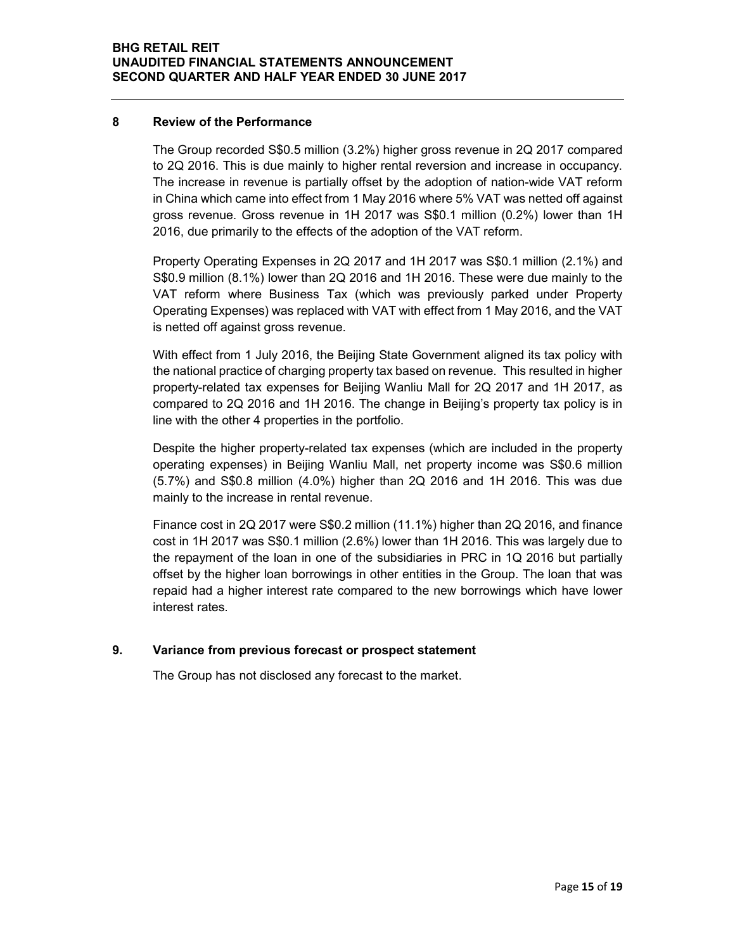#### 8 Review of the Performance

The Group recorded S\$0.5 million (3.2%) higher gross revenue in 2Q 2017 compared to 2Q 2016. This is due mainly to higher rental reversion and increase in occupancy. The increase in revenue is partially offset by the adoption of nation-wide VAT reform in China which came into effect from 1 May 2016 where 5% VAT was netted off against gross revenue. Gross revenue in 1H 2017 was S\$0.1 million (0.2%) lower than 1H 2016, due primarily to the effects of the adoption of the VAT reform.

Property Operating Expenses in 2Q 2017 and 1H 2017 was S\$0.1 million (2.1%) and S\$0.9 million (8.1%) lower than 2Q 2016 and 1H 2016. These were due mainly to the VAT reform where Business Tax (which was previously parked under Property Operating Expenses) was replaced with VAT with effect from 1 May 2016, and the VAT is netted off against gross revenue.

With effect from 1 July 2016, the Beijing State Government aligned its tax policy with the national practice of charging property tax based on revenue. This resulted in higher property-related tax expenses for Beijing Wanliu Mall for 2Q 2017 and 1H 2017, as compared to 2Q 2016 and 1H 2016. The change in Beijing's property tax policy is in line with the other 4 properties in the portfolio.

Despite the higher property-related tax expenses (which are included in the property operating expenses) in Beijing Wanliu Mall, net property income was S\$0.6 million (5.7%) and S\$0.8 million (4.0%) higher than 2Q 2016 and 1H 2016. This was due mainly to the increase in rental revenue.

Finance cost in 2Q 2017 were S\$0.2 million (11.1%) higher than 2Q 2016, and finance cost in 1H 2017 was S\$0.1 million (2.6%) lower than 1H 2016. This was largely due to the repayment of the loan in one of the subsidiaries in PRC in 1Q 2016 but partially offset by the higher loan borrowings in other entities in the Group. The loan that was repaid had a higher interest rate compared to the new borrowings which have lower interest rates.

## 9. Variance from previous forecast or prospect statement

The Group has not disclosed any forecast to the market.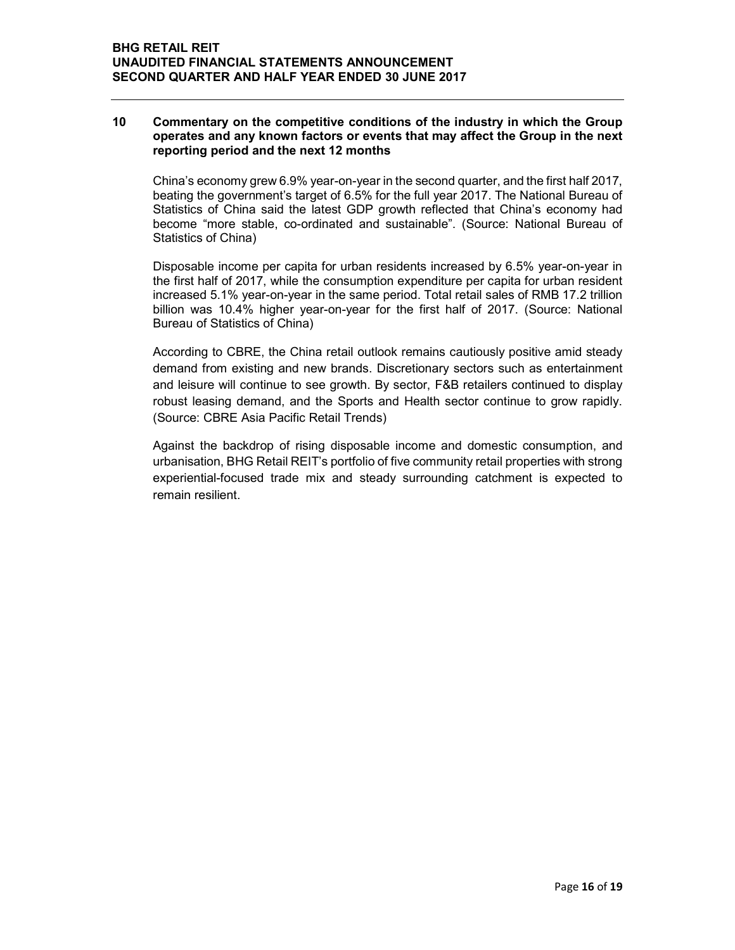#### 10 Commentary on the competitive conditions of the industry in which the Group operates and any known factors or events that may affect the Group in the next reporting period and the next 12 months

China's economy grew 6.9% year-on-year in the second quarter, and the first half 2017, beating the government's target of 6.5% for the full year 2017. The National Bureau of Statistics of China said the latest GDP growth reflected that China's economy had become "more stable, co-ordinated and sustainable". (Source: National Bureau of Statistics of China)

Disposable income per capita for urban residents increased by 6.5% year-on-year in the first half of 2017, while the consumption expenditure per capita for urban resident increased 5.1% year-on-year in the same period. Total retail sales of RMB 17.2 trillion billion was 10.4% higher year-on-year for the first half of 2017. (Source: National Bureau of Statistics of China)

According to CBRE, the China retail outlook remains cautiously positive amid steady demand from existing and new brands. Discretionary sectors such as entertainment and leisure will continue to see growth. By sector, F&B retailers continued to display robust leasing demand, and the Sports and Health sector continue to grow rapidly. (Source: CBRE Asia Pacific Retail Trends)

Against the backdrop of rising disposable income and domestic consumption, and urbanisation, BHG Retail REIT's portfolio of five community retail properties with strong experiential-focused trade mix and steady surrounding catchment is expected to remain resilient.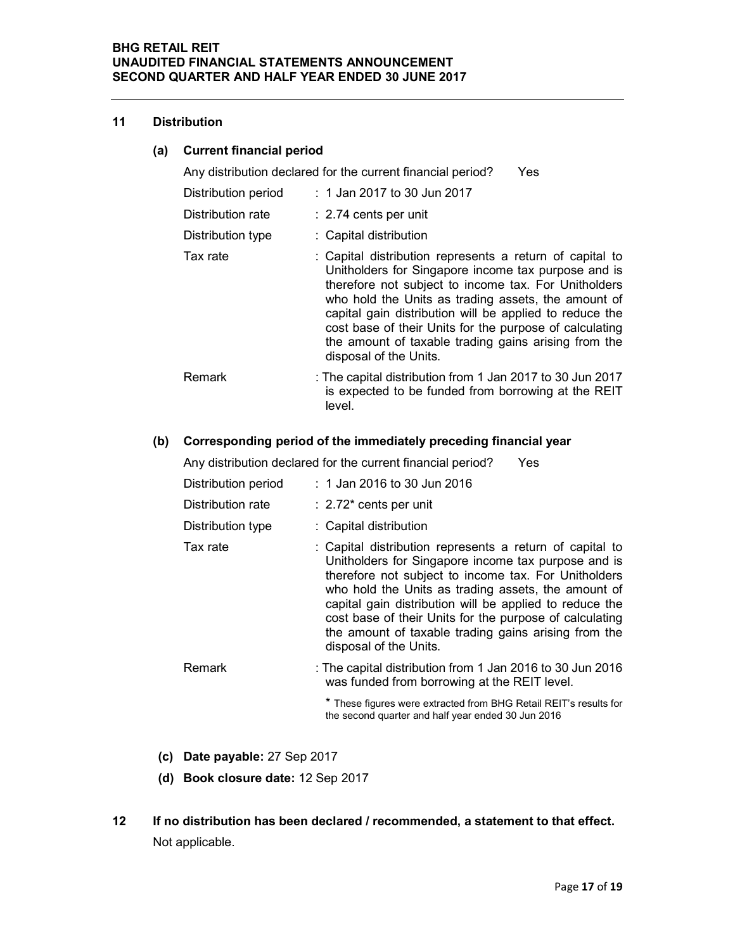#### 11 Distribution

## (a) Current financial period

Any distribution declared for the current financial period? Yes

| Distribution period | : 1 Jan 2017 to 30 Jun 2017                                                                                                                                                                                                                                                                                                                                                                                                            |
|---------------------|----------------------------------------------------------------------------------------------------------------------------------------------------------------------------------------------------------------------------------------------------------------------------------------------------------------------------------------------------------------------------------------------------------------------------------------|
| Distribution rate   | $: 2.74$ cents per unit                                                                                                                                                                                                                                                                                                                                                                                                                |
| Distribution type   | : Capital distribution                                                                                                                                                                                                                                                                                                                                                                                                                 |
| Tax rate            | : Capital distribution represents a return of capital to<br>Unitholders for Singapore income tax purpose and is<br>therefore not subject to income tax. For Unitholders<br>who hold the Units as trading assets, the amount of<br>capital gain distribution will be applied to reduce the<br>cost base of their Units for the purpose of calculating<br>the amount of taxable trading gains arising from the<br>disposal of the Units. |
| Remark              | : The capital distribution from 1 Jan 2017 to 30 Jun 2017<br>is expected to be funded from borrowing at the REIT<br>level.                                                                                                                                                                                                                                                                                                             |

### (b) Corresponding period of the immediately preceding financial year

Any distribution declared for the current financial period? Yes

| Distribution period | $: 1$ Jan 2016 to 30 Jun 2016                                                                                                                                                                                                                                                                                                                                                                                                          |
|---------------------|----------------------------------------------------------------------------------------------------------------------------------------------------------------------------------------------------------------------------------------------------------------------------------------------------------------------------------------------------------------------------------------------------------------------------------------|
| Distribution rate   | $\therefore$ 2.72 $^*$ cents per unit                                                                                                                                                                                                                                                                                                                                                                                                  |
| Distribution type   | : Capital distribution                                                                                                                                                                                                                                                                                                                                                                                                                 |
| Tax rate            | : Capital distribution represents a return of capital to<br>Unitholders for Singapore income tax purpose and is<br>therefore not subject to income tax. For Unitholders<br>who hold the Units as trading assets, the amount of<br>capital gain distribution will be applied to reduce the<br>cost base of their Units for the purpose of calculating<br>the amount of taxable trading gains arising from the<br>disposal of the Units. |
| Remark              | : The capital distribution from 1 Jan 2016 to 30 Jun 2016<br>was funded from borrowing at the REIT level.                                                                                                                                                                                                                                                                                                                              |
|                     | * These figures were extracted from BHG Retail REIT's results for<br>the second quarter and half year ended 30 Jun 2016                                                                                                                                                                                                                                                                                                                |

- (c) Date payable: 27 Sep 2017
- (d) Book closure date: 12 Sep 2017
- 12 If no distribution has been declared / recommended, a statement to that effect. Not applicable.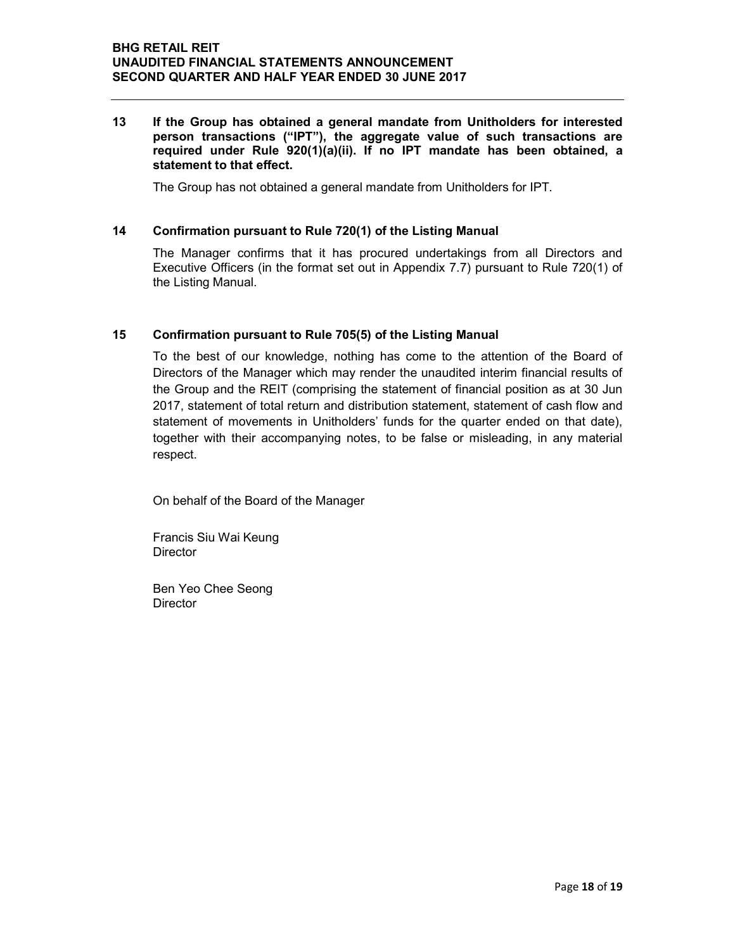#### 13 If the Group has obtained a general mandate from Unitholders for interested person transactions ("IPT"), the aggregate value of such transactions are required under Rule 920(1)(a)(ii). If no IPT mandate has been obtained, a statement to that effect.

The Group has not obtained a general mandate from Unitholders for IPT.

#### 14 Confirmation pursuant to Rule 720(1) of the Listing Manual

The Manager confirms that it has procured undertakings from all Directors and Executive Officers (in the format set out in Appendix 7.7) pursuant to Rule 720(1) of the Listing Manual.

#### 15 Confirmation pursuant to Rule 705(5) of the Listing Manual

To the best of our knowledge, nothing has come to the attention of the Board of Directors of the Manager which may render the unaudited interim financial results of the Group and the REIT (comprising the statement of financial position as at 30 Jun 2017, statement of total return and distribution statement, statement of cash flow and statement of movements in Unitholders' funds for the quarter ended on that date), together with their accompanying notes, to be false or misleading, in any material respect.

On behalf of the Board of the Manager

Francis Siu Wai Keung **Director** 

Ben Yeo Chee Seong **Director**